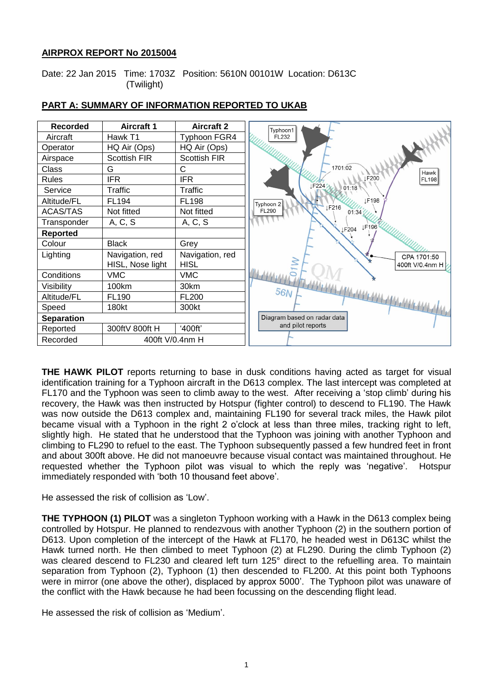# **AIRPROX REPORT No 2015004**

Date: 22 Jan 2015 Time: 1703Z Position: 5610N 00101W Location: D613C (Twilight)



# **PART A: SUMMARY OF INFORMATION REPORTED TO UKAB**

**THE HAWK PILOT** reports returning to base in dusk conditions having acted as target for visual identification training for a Typhoon aircraft in the D613 complex. The last intercept was completed at FL170 and the Typhoon was seen to climb away to the west. After receiving a 'stop climb' during his recovery, the Hawk was then instructed by Hotspur (fighter control) to descend to FL190. The Hawk was now outside the D613 complex and, maintaining FL190 for several track miles, the Hawk pilot became visual with a Typhoon in the right 2 o'clock at less than three miles, tracking right to left, slightly high. He stated that he understood that the Typhoon was joining with another Typhoon and climbing to FL290 to refuel to the east. The Typhoon subsequently passed a few hundred feet in front and about 300ft above. He did not manoeuvre because visual contact was maintained throughout. He requested whether the Typhoon pilot was visual to which the reply was 'negative'. Hotspur immediately responded with 'both 10 thousand feet above'.

He assessed the risk of collision as 'Low'.

**THE TYPHOON (1) PILOT** was a singleton Typhoon working with a Hawk in the D613 complex being controlled by Hotspur. He planned to rendezvous with another Typhoon (2) in the southern portion of D613. Upon completion of the intercept of the Hawk at FL170, he headed west in D613C whilst the Hawk turned north. He then climbed to meet Typhoon (2) at FL290. During the climb Typhoon (2) was cleared descend to FL230 and cleared left turn 125° direct to the refuelling area. To maintain separation from Typhoon (2), Typhoon (1) then descended to FL200. At this point both Typhoons were in mirror (one above the other), displaced by approx 5000'. The Typhoon pilot was unaware of the conflict with the Hawk because he had been focussing on the descending flight lead.

He assessed the risk of collision as 'Medium'.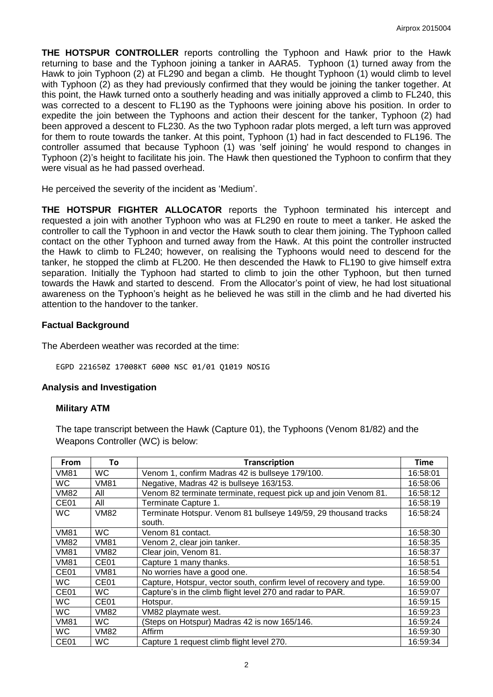**THE HOTSPUR CONTROLLER** reports controlling the Typhoon and Hawk prior to the Hawk returning to base and the Typhoon joining a tanker in AARA5. Typhoon (1) turned away from the Hawk to join Typhoon (2) at FL290 and began a climb. He thought Typhoon (1) would climb to level with Typhoon (2) as they had previously confirmed that they would be joining the tanker together. At this point, the Hawk turned onto a southerly heading and was initially approved a climb to FL240, this was corrected to a descent to FL190 as the Typhoons were joining above his position. In order to expedite the join between the Typhoons and action their descent for the tanker, Typhoon (2) had been approved a descent to FL230. As the two Typhoon radar plots merged, a left turn was approved for them to route towards the tanker. At this point, Typhoon (1) had in fact descended to FL196. The controller assumed that because Typhoon (1) was 'self joining' he would respond to changes in Typhoon (2)'s height to facilitate his join. The Hawk then questioned the Typhoon to confirm that they were visual as he had passed overhead.

He perceived the severity of the incident as 'Medium'.

**THE HOTSPUR FIGHTER ALLOCATOR** reports the Typhoon terminated his intercept and requested a join with another Typhoon who was at FL290 en route to meet a tanker. He asked the controller to call the Typhoon in and vector the Hawk south to clear them joining. The Typhoon called contact on the other Typhoon and turned away from the Hawk. At this point the controller instructed the Hawk to climb to FL240; however, on realising the Typhoons would need to descend for the tanker, he stopped the climb at FL200. He then descended the Hawk to FL190 to give himself extra separation. Initially the Typhoon had started to climb to join the other Typhoon, but then turned towards the Hawk and started to descend. From the Allocator's point of view, he had lost situational awareness on the Typhoon's height as he believed he was still in the climb and he had diverted his attention to the handover to the tanker.

### **Factual Background**

The Aberdeen weather was recorded at the time:

EGPD 221650Z 17008KT 6000 NSC 01/01 Q1019 NOSIG

### **Analysis and Investigation**

### **Military ATM**

The tape transcript between the Hawk (Capture 01), the Typhoons (Venom 81/82) and the Weapons Controller (WC) is below:

| From             | To               | <b>Transcription</b>                                                      | <b>Time</b> |
|------------------|------------------|---------------------------------------------------------------------------|-------------|
| <b>VM81</b>      | <b>WC</b>        | Venom 1, confirm Madras 42 is bullseye 179/100.                           | 16:58:01    |
| WC.              | VM81             | Negative, Madras 42 is bullseye 163/153.                                  | 16:58:06    |
| <b>VM82</b>      | All              | Venom 82 terminate terminate, request pick up and join Venom 81.          | 16:58:12    |
| CE01             | All              | Terminate Capture 1.                                                      | 16:58:19    |
| <b>WC</b>        | VM82             | Terminate Hotspur. Venom 81 bullseye 149/59, 29 thousand tracks<br>south. | 16:58:24    |
| <b>VM81</b>      | <b>WC</b>        | Venom 81 contact.                                                         | 16:58:30    |
| <b>VM82</b>      | <b>VM81</b>      | Venom 2, clear join tanker.                                               | 16:58:35    |
| <b>VM81</b>      | <b>VM82</b>      | Clear join, Venom 81.                                                     | 16:58:37    |
| <b>VM81</b>      | CE <sub>01</sub> | Capture 1 many thanks.                                                    | 16:58:51    |
| CE <sub>01</sub> | <b>VM81</b>      | No worries have a good one.                                               | 16:58:54    |
| <b>WC</b>        | CE <sub>01</sub> | Capture, Hotspur, vector south, confirm level of recovery and type.       | 16:59:00    |
| CE <sub>01</sub> | WC.              | Capture's in the climb flight level 270 and radar to PAR.                 | 16:59:07    |
| <b>WC</b>        | CE <sub>01</sub> | Hotspur.                                                                  | 16:59:15    |
| <b>WC</b>        | <b>VM82</b>      | VM82 playmate west.                                                       | 16:59:23    |
| <b>VM81</b>      | WC.              | (Steps on Hotspur) Madras 42 is now 165/146.                              | 16:59:24    |
| WC.              | VM82             | Affirm                                                                    | 16:59:30    |
| CE <sub>01</sub> | WC.              | Capture 1 request climb flight level 270.                                 | 16:59:34    |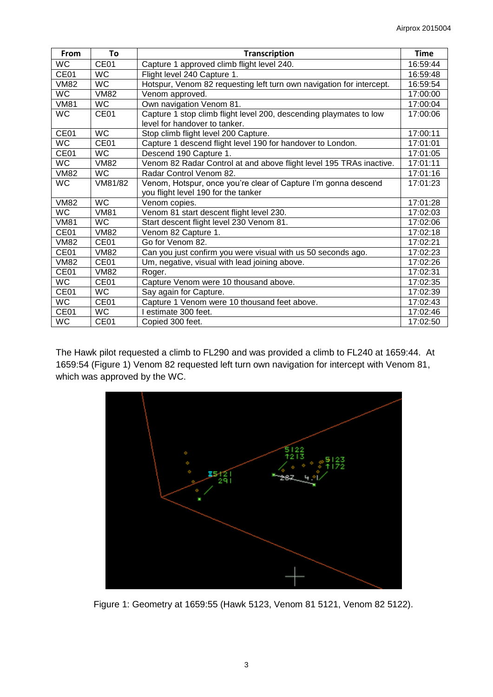| From        | To               | <b>Transcription</b>                                                 | <b>Time</b> |
|-------------|------------------|----------------------------------------------------------------------|-------------|
| <b>WC</b>   | CE <sub>01</sub> | Capture 1 approved climb flight level 240.                           | 16:59:44    |
| CE01        | <b>WC</b>        | Flight level 240 Capture 1.                                          | 16:59:48    |
| <b>VM82</b> | WC.              | Hotspur, Venom 82 requesting left turn own navigation for intercept. | 16:59:54    |
| <b>WC</b>   | <b>VM82</b>      | Venom approved.                                                      | 17:00:00    |
| <b>VM81</b> | <b>WC</b>        | Own navigation Venom 81.                                             | 17:00:04    |
| <b>WC</b>   | CE01             | Capture 1 stop climb flight level 200, descending playmates to low   | 17:00:06    |
|             |                  | level for handover to tanker.                                        |             |
| CE01        | <b>WC</b>        | Stop climb flight level 200 Capture.                                 | 17:00:11    |
| <b>WC</b>   | CE <sub>01</sub> | Capture 1 descend flight level 190 for handover to London.           | 17:01:01    |
| CE01        | <b>WC</b>        | Descend 190 Capture 1.                                               | 17:01:05    |
| <b>WC</b>   | <b>VM82</b>      | Venom 82 Radar Control at and above flight level 195 TRAs inactive.  | 17:01:11    |
| <b>VM82</b> | <b>WC</b>        | Radar Control Venom 82.                                              | 17:01:16    |
| <b>WC</b>   | VM81/82          | Venom, Hotspur, once you're clear of Capture I'm gonna descend       | 17:01:23    |
|             |                  | you flight level 190 for the tanker                                  |             |
| <b>VM82</b> | <b>WC</b>        | Venom copies.                                                        | 17:01:28    |
| <b>WC</b>   | <b>VM81</b>      | Venom 81 start descent flight level 230.                             | 17:02:03    |
| <b>VM81</b> | <b>WC</b>        | Start descent flight level 230 Venom 81.                             | 17:02:06    |
| CE01        | <b>VM82</b>      | Venom 82 Capture 1.                                                  | 17:02:18    |
| <b>VM82</b> | CE01             | Go for Venom 82.                                                     | 17:02:21    |
| CE01        | <b>VM82</b>      | Can you just confirm you were visual with us 50 seconds ago.         | 17:02:23    |
| <b>VM82</b> | CE <sub>01</sub> | Um, negative, visual with lead joining above.                        | 17:02:26    |
| CE01        | <b>VM82</b>      | Roger.                                                               | 17:02:31    |
| <b>WC</b>   | CE <sub>01</sub> | Capture Venom were 10 thousand above.                                | 17:02:35    |
| CE01        | WC               | Say again for Capture.                                               | 17:02:39    |
| <b>WC</b>   | CE <sub>01</sub> | Capture 1 Venom were 10 thousand feet above.                         | 17:02:43    |
| CE01        | <b>WC</b>        | I estimate 300 feet.                                                 | 17:02:46    |
| <b>WC</b>   | CE01             | Copied 300 feet.                                                     | 17:02:50    |

The Hawk pilot requested a climb to FL290 and was provided a climb to FL240 at 1659:44. At 1659:54 (Figure 1) Venom 82 requested left turn own navigation for intercept with Venom 81, which was approved by the WC.



Figure 1: Geometry at 1659:55 (Hawk 5123, Venom 81 5121, Venom 82 5122).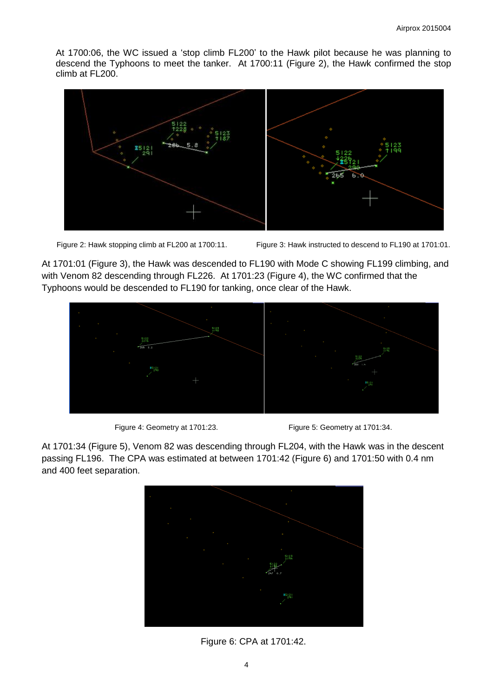At 1700:06, the WC issued a 'stop climb FL200' to the Hawk pilot because he was planning to descend the Typhoons to meet the tanker. At 1700:11 (Figure 2), the Hawk confirmed the stop climb at FL200.



Figure 2: Hawk stopping climb at FL200 at 1700:11. Figure 3: Hawk instructed to descend to FL190 at 1701:01.

At 1701:01 (Figure 3), the Hawk was descended to FL190 with Mode C showing FL199 climbing, and with Venom 82 descending through FL226. At 1701:23 (Figure 4), the WC confirmed that the Typhoons would be descended to FL190 for tanking, once clear of the Hawk.



Figure 4: Geometry at 1701:23. Figure 5: Geometry at 1701:34.

At 1701:34 (Figure 5), Venom 82 was descending through FL204, with the Hawk was in the descent passing FL196. The CPA was estimated at between 1701:42 (Figure 6) and 1701:50 with 0.4 nm and 400 feet separation.



Figure 6: CPA at 1701:42.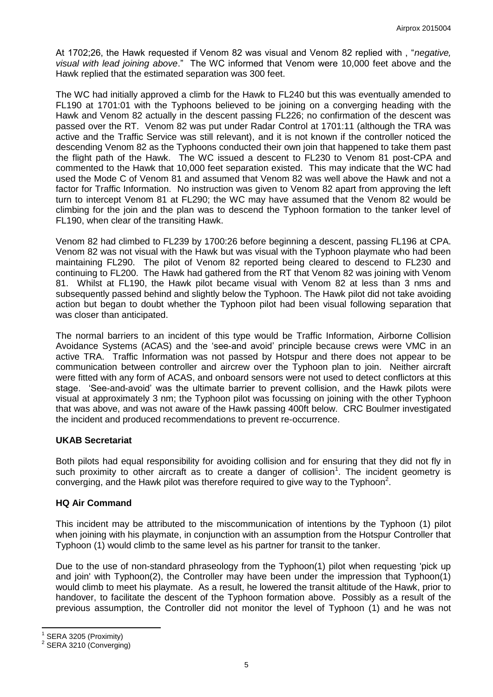At 1702;26, the Hawk requested if Venom 82 was visual and Venom 82 replied with , "*negative, visual with lead joining above*." The WC informed that Venom were 10,000 feet above and the Hawk replied that the estimated separation was 300 feet.

The WC had initially approved a climb for the Hawk to FL240 but this was eventually amended to FL190 at 1701:01 with the Typhoons believed to be joining on a converging heading with the Hawk and Venom 82 actually in the descent passing FL226; no confirmation of the descent was passed over the RT. Venom 82 was put under Radar Control at 1701:11 (although the TRA was active and the Traffic Service was still relevant), and it is not known if the controller noticed the descending Venom 82 as the Typhoons conducted their own join that happened to take them past the flight path of the Hawk. The WC issued a descent to FL230 to Venom 81 post-CPA and commented to the Hawk that 10,000 feet separation existed. This may indicate that the WC had used the Mode C of Venom 81 and assumed that Venom 82 was well above the Hawk and not a factor for Traffic Information. No instruction was given to Venom 82 apart from approving the left turn to intercept Venom 81 at FL290; the WC may have assumed that the Venom 82 would be climbing for the join and the plan was to descend the Typhoon formation to the tanker level of FL190, when clear of the transiting Hawk.

Venom 82 had climbed to FL239 by 1700:26 before beginning a descent, passing FL196 at CPA. Venom 82 was not visual with the Hawk but was visual with the Typhoon playmate who had been maintaining FL290. The pilot of Venom 82 reported being cleared to descend to FL230 and continuing to FL200. The Hawk had gathered from the RT that Venom 82 was joining with Venom 81. Whilst at FL190, the Hawk pilot became visual with Venom 82 at less than 3 nms and subsequently passed behind and slightly below the Typhoon. The Hawk pilot did not take avoiding action but began to doubt whether the Typhoon pilot had been visual following separation that was closer than anticipated.

The normal barriers to an incident of this type would be Traffic Information, Airborne Collision Avoidance Systems (ACAS) and the 'see-and avoid' principle because crews were VMC in an active TRA. Traffic Information was not passed by Hotspur and there does not appear to be communication between controller and aircrew over the Typhoon plan to join. Neither aircraft were fitted with any form of ACAS, and onboard sensors were not used to detect conflictors at this stage. 'See-and-avoid' was the ultimate barrier to prevent collision, and the Hawk pilots were visual at approximately 3 nm; the Typhoon pilot was focussing on joining with the other Typhoon that was above, and was not aware of the Hawk passing 400ft below. CRC Boulmer investigated the incident and produced recommendations to prevent re-occurrence.

## **UKAB Secretariat**

Both pilots had equal responsibility for avoiding collision and for ensuring that they did not fly in such proximity to other aircraft as to create a danger of collision<sup>1</sup>. The incident geometry is converging, and the Hawk pilot was therefore required to give way to the Typhoon<sup>2</sup>.

## **HQ Air Command**

This incident may be attributed to the miscommunication of intentions by the Typhoon (1) pilot when joining with his playmate, in conjunction with an assumption from the Hotspur Controller that Typhoon (1) would climb to the same level as his partner for transit to the tanker.

Due to the use of non-standard phraseology from the Typhoon(1) pilot when requesting 'pick up and join' with Typhoon(2), the Controller may have been under the impression that Typhoon(1) would climb to meet his playmate. As a result, he lowered the transit altitude of the Hawk, prior to handover, to facilitate the descent of the Typhoon formation above. Possibly as a result of the previous assumption, the Controller did not monitor the level of Typhoon (1) and he was not

 $\overline{\phantom{a}}$ 1 SERA 3205 (Proximity)

<sup>&</sup>lt;sup>2</sup> SERA 3210 (Converging)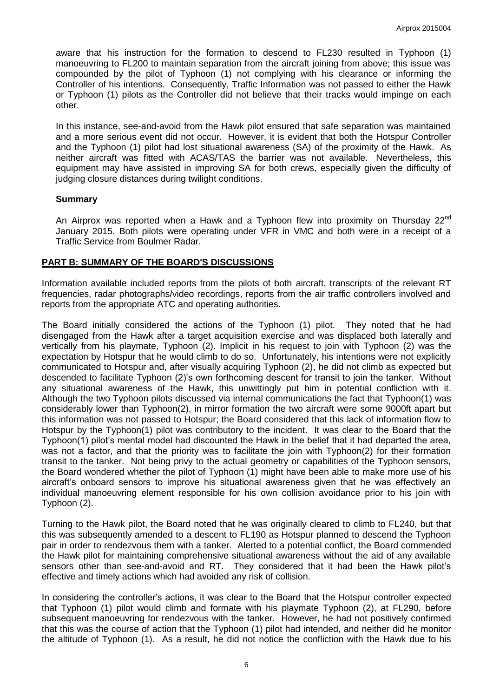aware that his instruction for the formation to descend to FL230 resulted in Typhoon (1) manoeuvring to FL200 to maintain separation from the aircraft joining from above; this issue was compounded by the pilot of Typhoon (1) not complying with his clearance or informing the Controller of his intentions. Consequently, Traffic Information was not passed to either the Hawk or Typhoon (1) pilots as the Controller did not believe that their tracks would impinge on each other.

In this instance, see-and-avoid from the Hawk pilot ensured that safe separation was maintained and a more serious event did not occur. However, it is evident that both the Hotspur Controller and the Typhoon (1) pilot had lost situational awareness (SA) of the proximity of the Hawk. As neither aircraft was fitted with ACAS/TAS the barrier was not available. Nevertheless, this equipment may have assisted in improving SA for both crews, especially given the difficulty of judging closure distances during twilight conditions.

### **Summary**

An Airprox was reported when a Hawk and a Typhoon flew into proximity on Thursday  $22^{\text{nd}}$ January 2015. Both pilots were operating under VFR in VMC and both were in a receipt of a Traffic Service from Boulmer Radar.

### **PART B: SUMMARY OF THE BOARD'S DISCUSSIONS**

Information available included reports from the pilots of both aircraft, transcripts of the relevant RT frequencies, radar photographs/video recordings, reports from the air traffic controllers involved and reports from the appropriate ATC and operating authorities.

The Board initially considered the actions of the Typhoon (1) pilot. They noted that he had disengaged from the Hawk after a target acquisition exercise and was displaced both laterally and vertically from his playmate, Typhoon (2). Implicit in his request to join with Typhoon (2) was the expectation by Hotspur that he would climb to do so. Unfortunately, his intentions were not explicitly communicated to Hotspur and, after visually acquiring Typhoon (2), he did not climb as expected but descended to facilitate Typhoon (2)'s own forthcoming descent for transit to join the tanker. Without any situational awareness of the Hawk, this unwittingly put him in potential confliction with it. Although the two Typhoon pilots discussed via internal communications the fact that Typhoon(1) was considerably lower than Typhoon(2), in mirror formation the two aircraft were some 9000ft apart but this information was not passed to Hotspur; the Board considered that this lack of information flow to Hotspur by the Typhoon(1) pilot was contributory to the incident. It was clear to the Board that the Typhoon(1) pilot's mental model had discounted the Hawk in the belief that it had departed the area, was not a factor, and that the priority was to facilitate the join with Typhoon(2) for their formation transit to the tanker. Not being privy to the actual geometry or capabilities of the Typhoon sensors, the Board wondered whether the pilot of Typhoon (1) might have been able to make more use of his aircraft's onboard sensors to improve his situational awareness given that he was effectively an individual manoeuvring element responsible for his own collision avoidance prior to his join with Typhoon (2).

Turning to the Hawk pilot, the Board noted that he was originally cleared to climb to FL240, but that this was subsequently amended to a descent to FL190 as Hotspur planned to descend the Typhoon pair in order to rendezvous them with a tanker. Alerted to a potential conflict, the Board commended the Hawk pilot for maintaining comprehensive situational awareness without the aid of any available sensors other than see-and-avoid and RT. They considered that it had been the Hawk pilot's effective and timely actions which had avoided any risk of collision.

In considering the controller's actions, it was clear to the Board that the Hotspur controller expected that Typhoon (1) pilot would climb and formate with his playmate Typhoon (2), at FL290, before subsequent manoeuvring for rendezvous with the tanker. However, he had not positively confirmed that this was the course of action that the Typhoon (1) pilot had intended, and neither did he monitor the altitude of Typhoon (1). As a result, he did not notice the confliction with the Hawk due to his